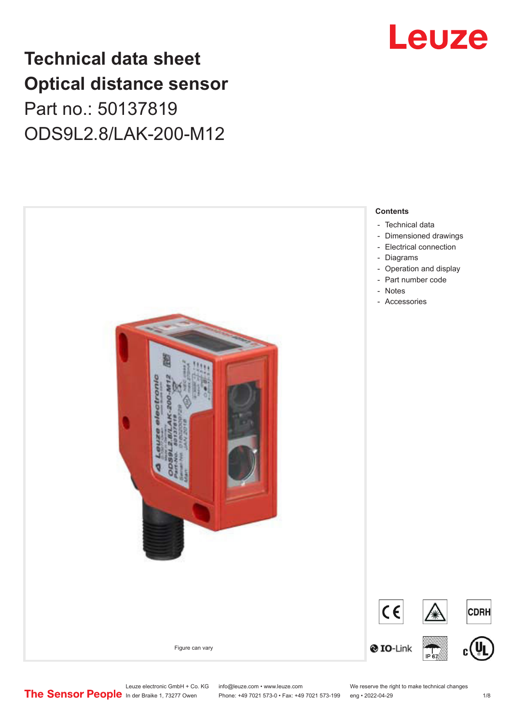# **Technical data sheet Optical distance sensor** Part no.: 50137819 ODS9L2.8/LAK-200-M12





Leuze electronic GmbH + Co. KG info@leuze.com • www.leuze.com We reserve the right to make technical changes<br> **The Sensor People** in der Braike 1, 73277 Owen Phone: +49 7021 573-0 • Fax: +49 7021 573-199 eng • 2022-04-29

Phone: +49 7021 573-0 • Fax: +49 7021 573-199 eng • 2022-04-29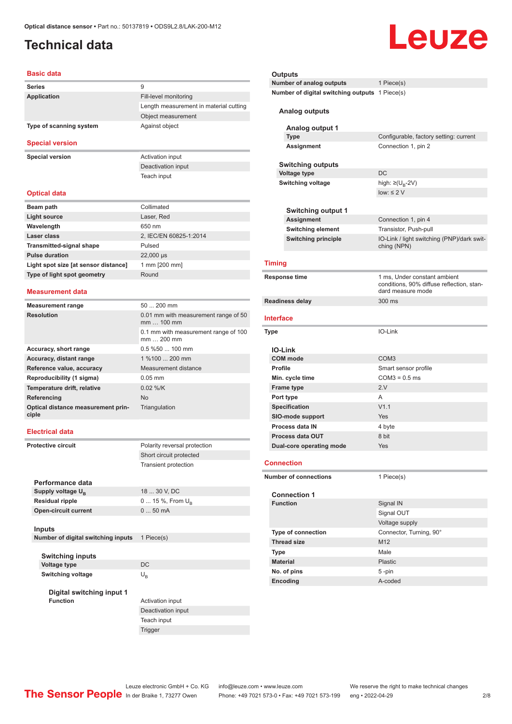## <span id="page-1-0"></span>**Technical data**

# Leuze

#### **Basic data**

| <b>Series</b>           | 9                                      |
|-------------------------|----------------------------------------|
| Application             | Fill-level monitoring                  |
|                         | Length measurement in material cutting |
|                         | Object measurement                     |
| Type of scanning system | Against object                         |
| <b>Special version</b>  |                                        |

**Special version**<br> **Activation input** 

Deactivation input Teach input

#### **Optical data**

| Beam path                            | Collimated             |
|--------------------------------------|------------------------|
| Light source                         | Laser, Red             |
| Wavelength                           | 650 nm                 |
| Laser class                          | 2, IEC/EN 60825-1:2014 |
| <b>Transmitted-signal shape</b>      | Pulsed                 |
| <b>Pulse duration</b>                | 22,000 µs              |
| Light spot size [at sensor distance] | 1 mm [200 mm]          |
| Type of light spot geometry          | Round                  |
|                                      |                        |

#### **Measurement data**

| <b>Measurement range</b>                    | $50200$ mm                                         |
|---------------------------------------------|----------------------------------------------------|
| <b>Resolution</b>                           | 0.01 mm with measurement range of 50<br>$mm100$ mm |
|                                             | 0.1 mm with measurement range of 100<br>mm  200 mm |
| Accuracy, short range                       | $0.5\%50100$ mm                                    |
| Accuracy, distant range                     | 1 %100  200 mm                                     |
| Reference value, accuracy                   | Measurement distance                               |
| Reproducibility (1 sigma)                   | $0.05$ mm                                          |
| Temperature drift, relative                 | $0.02 \%$ /K                                       |
| Referencing                                 | <b>No</b>                                          |
| Optical distance measurement prin-<br>ciple | Triangulation                                      |

#### **Electrical data**

| <b>Protective circuit</b> |                                    | Polarity reversal protection |
|---------------------------|------------------------------------|------------------------------|
|                           | Short circuit protected            |                              |
|                           |                                    | <b>Transient protection</b>  |
|                           |                                    |                              |
|                           | Performance data                   |                              |
|                           | Supply voltage U <sub>R</sub>      | 18  30 V, DC                 |
|                           | <b>Residual ripple</b>             | 0  15 %, From $U_{\rm B}$    |
|                           | <b>Open-circuit current</b>        | $050$ mA                     |
|                           |                                    |                              |
|                           | Inputs                             |                              |
|                           | Number of digital switching inputs | 1 Piece(s)                   |
|                           |                                    |                              |
|                           | <b>Switching inputs</b>            |                              |
|                           | Voltage type                       | DC                           |
|                           | <b>Switching voltage</b>           | $U_{R}$                      |
|                           |                                    |                              |
|                           | Digital switching input 1          |                              |
| <b>Function</b>           |                                    | Activation input             |
|                           |                                    | Deactivation input           |
|                           |                                    | Teach input                  |

Trigger

#### **Outputs Number of analog outputs** 1 Piece(s) **Number of digital switching outputs** 1 Piece(s)

**Analog outputs**

|                          | Analog output 1              |                                                                                                |
|--------------------------|------------------------------|------------------------------------------------------------------------------------------------|
| <b>Type</b>              |                              | Configurable, factory setting: current                                                         |
| <b>Assignment</b>        |                              | Connection 1, pin 2                                                                            |
|                          | <b>Switching outputs</b>     |                                                                                                |
|                          | <b>Voltage type</b>          | DC                                                                                             |
| <b>Switching voltage</b> |                              | high: $\geq (U_{B} - 2V)$                                                                      |
|                          |                              | low: $\leq 2$ V                                                                                |
|                          |                              |                                                                                                |
|                          | <b>Switching output 1</b>    |                                                                                                |
| Assignment               |                              | Connection 1, pin 4                                                                            |
|                          | <b>Switching element</b>     | Transistor, Push-pull                                                                          |
|                          | <b>Switching principle</b>   | IO-Link / light switching (PNP)/dark swit-<br>ching (NPN)                                      |
|                          | <b>Timing</b>                |                                                                                                |
|                          | Response time                | 1 ms, Under constant ambient<br>conditions, 90% diffuse reflection, stan-<br>dard measure mode |
|                          | Readiness delay              | 300 ms                                                                                         |
|                          | Interface                    |                                                                                                |
|                          | <b>Type</b>                  | IO-Link                                                                                        |
|                          |                              |                                                                                                |
|                          | <b>IO-Link</b>               |                                                                                                |
|                          | <b>COM</b> mode              | COM <sub>3</sub>                                                                               |
|                          | <b>Profile</b>               | Smart sensor profile                                                                           |
|                          | Min. cycle time              | $COM3 = 0.5$ ms                                                                                |
|                          | <b>Frame type</b>            | 2.V                                                                                            |
|                          | Port type                    | A                                                                                              |
|                          | <b>Specification</b>         | V1.1                                                                                           |
|                          | <b>SIO-mode support</b>      | Yes                                                                                            |
|                          | <b>Process data IN</b>       | 4 byte                                                                                         |
|                          | <b>Process data OUT</b>      | 8 bit                                                                                          |
|                          | Dual-core operating mode     | Yes                                                                                            |
|                          | <b>Connection</b>            |                                                                                                |
|                          | <b>Number of connections</b> | 1 Piece(s)                                                                                     |
|                          | <b>Connection 1</b>          |                                                                                                |
|                          | <b>Function</b>              | Signal IN                                                                                      |
|                          |                              | Signal OUT                                                                                     |
|                          |                              | Voltage supply                                                                                 |
|                          | Type of connection           | Connector, Turning, 90°                                                                        |
|                          | <b>Thread size</b>           | M12                                                                                            |
|                          | <b>Type</b>                  | Male                                                                                           |
|                          | <b>Material</b>              | <b>Plastic</b>                                                                                 |
|                          | No. of pins                  | $5 - pin$                                                                                      |
|                          | Encoding                     | A-coded                                                                                        |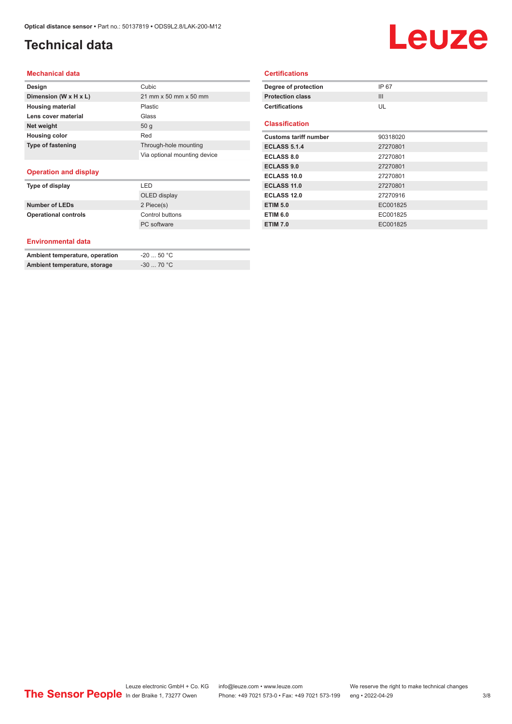# **Technical data**

# Leuze

#### **Mechanical data**

| Design                   | Cubic                        |
|--------------------------|------------------------------|
| Dimension (W x H x L)    | 21 mm x 50 mm x 50 mm        |
| <b>Housing material</b>  | Plastic                      |
| Lens cover material      | Glass                        |
| Net weight               | 50q                          |
| <b>Housing color</b>     | Red                          |
| <b>Type of fastening</b> | Through-hole mounting        |
|                          | Via optional mounting device |
|                          |                              |

#### **Operation and display**

| Type of display             | I FD            |
|-----------------------------|-----------------|
|                             | OLED display    |
| <b>Number of LEDs</b>       | 2 Piece(s)      |
| <b>Operational controls</b> | Control buttons |
|                             | PC software     |

#### **Environmental data**

| Ambient temperature, operation | -20  50 °C             |
|--------------------------------|------------------------|
| Ambient temperature, storage   | $-30$ 70 °C $^{\circ}$ |

#### **Certifications**

| IP 67    |
|----------|
| III      |
| UL       |
|          |
| 90318020 |
| 27270801 |
| 27270801 |
| 27270801 |
| 27270801 |
| 27270801 |
| 27270916 |
| EC001825 |
| EC001825 |
| EC001825 |
|          |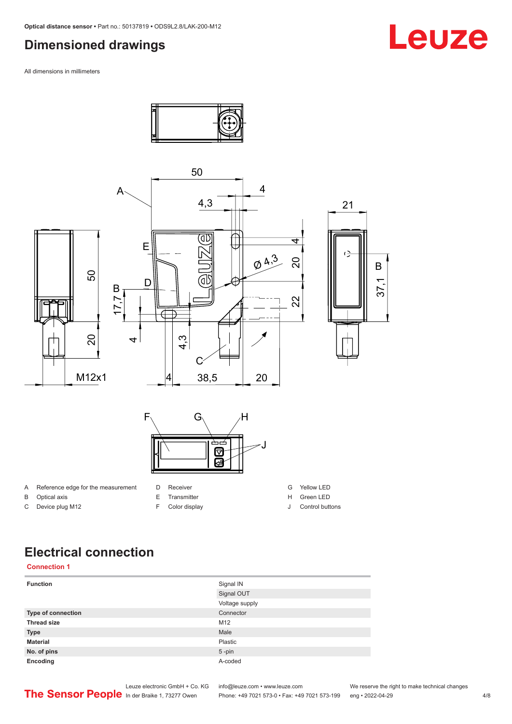## <span id="page-3-0"></span>**Dimensioned drawings**

All dimensions in millimeters



# **Electrical connection**

|  | <b>Connection 1</b> |
|--|---------------------|
|  |                     |

| <b>Function</b>           | Signal IN      |
|---------------------------|----------------|
|                           | Signal OUT     |
|                           | Voltage supply |
| <b>Type of connection</b> | Connector      |
| <b>Thread size</b>        | M12            |
| <b>Type</b>               | Male           |
| <b>Material</b>           | Plastic        |
| No. of pins               | $5 - pin$      |
| Encoding                  | A-coded        |

# Leuze

Leuze electronic GmbH + Co. KG info@leuze.com • www.leuze.com We reserve the right to make technical changes<br>
The Sensor People in der Braike 1, 73277 Owen Phone: +49 7021 573-0 • Fax: +49 7021 573-199 eng • 2022-04-29

Phone: +49 7021 573-0 • Fax: +49 7021 573-199 eng • 2022-04-29 4/8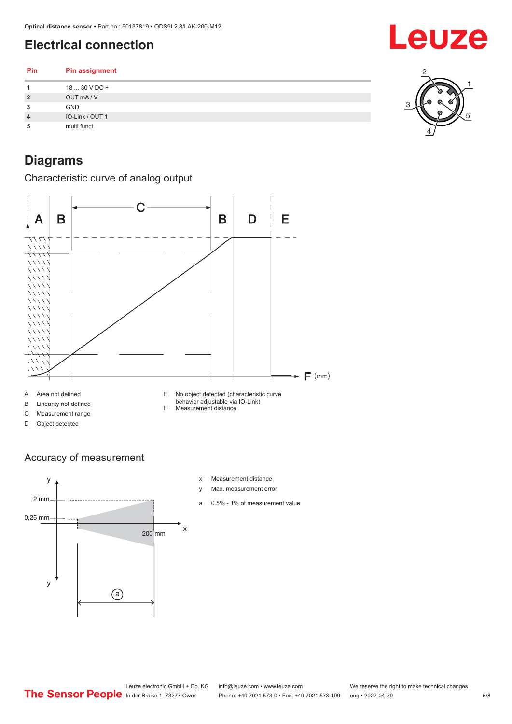# <span id="page-4-0"></span>**Electrical connection**

**Pin Pin assignment** 18 ... 30 V DC + OUT mA / V **3** GND IO-Link / OUT 1 multi funct

# **Diagrams**

Characteristic curve of analog output

![](_page_4_Figure_5.jpeg)

#### Accuracy of measurement

![](_page_4_Figure_7.jpeg)

- x Measurement distance
- y Max. measurement error
- a 0.5% 1% of measurement value

# Leuze

![](_page_4_Picture_12.jpeg)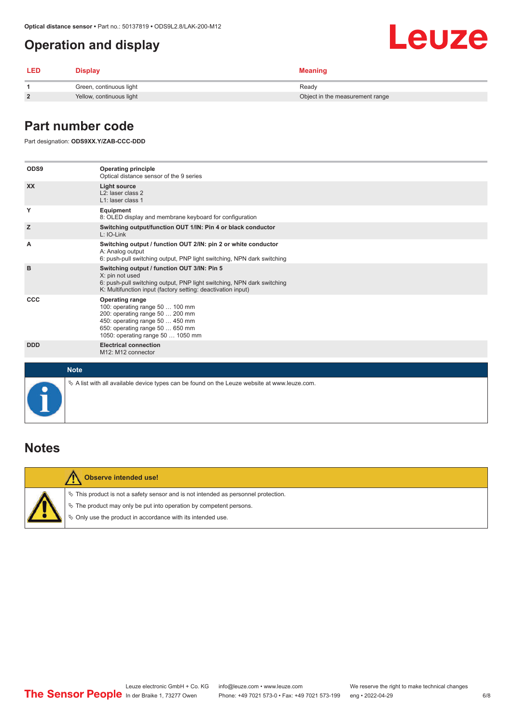## <span id="page-5-0"></span>**Operation and display**

| <b>LED</b> | <b>Display</b>           | Meaning                         |
|------------|--------------------------|---------------------------------|
|            | Green, continuous light  | Ready                           |
|            | Yellow, continuous light | Object in the measurement range |

### **Part number code**

Part designation: **ODS9XX.Y/ZAB-CCC-DDD**

| ODS9        | <b>Operating principle</b><br>Optical distance sensor of the 9 series                                                                                                                                    |
|-------------|----------------------------------------------------------------------------------------------------------------------------------------------------------------------------------------------------------|
| <b>XX</b>   | <b>Light source</b><br>L <sub>2</sub> : laser class 2<br>L1: laser class 1                                                                                                                               |
| Y           | Equipment<br>8: OLED display and membrane keyboard for configuration                                                                                                                                     |
| z           | Switching output/function OUT 1/IN: Pin 4 or black conductor<br>$L: IO-Link$                                                                                                                             |
| A           | Switching output / function OUT 2/IN: pin 2 or white conductor<br>A: Analog output<br>6: push-pull switching output, PNP light switching, NPN dark switching                                             |
| в           | Switching output / function OUT 3/IN: Pin 5<br>X: pin not used<br>6: push-pull switching output, PNP light switching, NPN dark switching<br>K: Multifunction input (factory setting: deactivation input) |
| <b>CCC</b>  | <b>Operating range</b><br>100: operating range 50  100 mm<br>200: operating range 50  200 mm<br>450: operating range 50  450 mm<br>650: operating range 50  650 mm<br>1050: operating range 50  1050 mm  |
| <b>DDD</b>  | <b>Electrical connection</b><br>M12: M12 connector                                                                                                                                                       |
| <b>Note</b> |                                                                                                                                                                                                          |
|             | $\&$ A list with all available device types can be found on the Leuze website at www.leuze.com.                                                                                                          |

### **Notes**

/!

#### **Observe intended use!**

 $\%$  This product is not a safety sensor and is not intended as personnel protection.

 $\%$  The product may only be put into operation by competent persons.

 $\%$  Only use the product in accordance with its intended use.

**Leuze**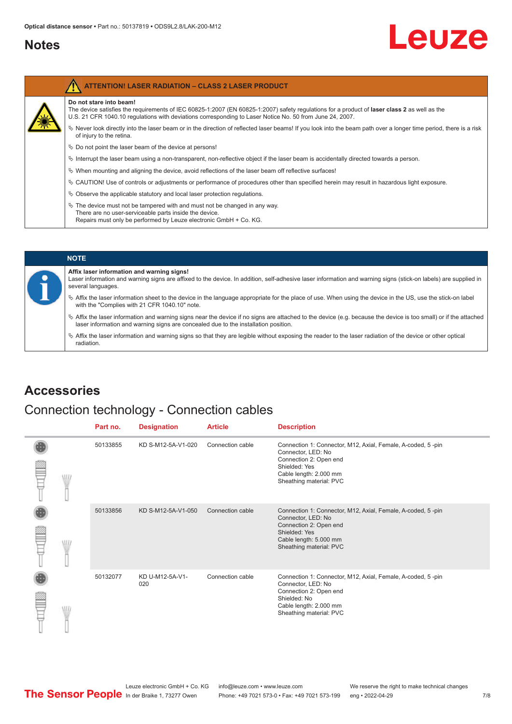### <span id="page-6-0"></span>**Notes**

Λ

# Leuze

| <b>ATTENTION! LASER RADIATION - CLASS 2 LASER PRODUCT</b>                                                                                                                                                                                                                           |
|-------------------------------------------------------------------------------------------------------------------------------------------------------------------------------------------------------------------------------------------------------------------------------------|
| Do not stare into beam!<br>The device satisfies the requirements of IEC 60825-1:2007 (EN 60825-1:2007) safety regulations for a product of laser class 2 as well as the<br>U.S. 21 CFR 1040.10 regulations with deviations corresponding to Laser Notice No. 50 from June 24, 2007. |
| $\&$ Never look directly into the laser beam or in the direction of reflected laser beams! If you look into the beam path over a longer time period, there is a risk<br>of injury to the retina.                                                                                    |
| $\&$ Do not point the laser beam of the device at persons!                                                                                                                                                                                                                          |
| $\%$ Interrupt the laser beam using a non-transparent, non-reflective object if the laser beam is accidentally directed towards a person.                                                                                                                                           |
| $\%$ When mounting and aligning the device, avoid reflections of the laser beam off reflective surfaces!                                                                                                                                                                            |
| $\&$ CAUTION! Use of controls or adjustments or performance of procedures other than specified herein may result in hazardous light exposure.                                                                                                                                       |
| $\&$ Observe the applicable statutory and local laser protection regulations.                                                                                                                                                                                                       |
| $\%$ The device must not be tampered with and must not be changed in any way.<br>There are no user-serviceable parts inside the device.<br>Repairs must only be performed by Leuze electronic GmbH + Co. KG.                                                                        |

#### **NOTE**

#### **Affix laser information and warning signs!**

Laser information and warning signs are affixed to the device. In addition, self-adhesive laser information and warning signs (stick-on labels) are supplied in several languages.

- ª Affix the laser information sheet to the device in the language appropriate for the place of use. When using the device in the US, use the stick-on label with the "Complies with 21 CFR 1040.10" note.
- ª Affix the laser information and warning signs near the device if no signs are attached to the device (e.g. because the device is too small) or if the attached laser information and warning signs are concealed due to the installation position.
- $\%$  Affix the laser information and warning signs so that they are legible without exposing the reader to the laser radiation of the device or other optical radiation.

### **Accessories**

### Connection technology - Connection cables

|   | Part no. | <b>Designation</b>     | <b>Article</b>   | <b>Description</b>                                                                                                                                                                |
|---|----------|------------------------|------------------|-----------------------------------------------------------------------------------------------------------------------------------------------------------------------------------|
| W | 50133855 | KD S-M12-5A-V1-020     | Connection cable | Connection 1: Connector, M12, Axial, Female, A-coded, 5-pin<br>Connector, LED: No<br>Connection 2: Open end<br>Shielded: Yes<br>Cable length: 2.000 mm<br>Sheathing material: PVC |
|   | 50133856 | KD S-M12-5A-V1-050     | Connection cable | Connection 1: Connector, M12, Axial, Female, A-coded, 5-pin<br>Connector, LED: No<br>Connection 2: Open end<br>Shielded: Yes<br>Cable length: 5.000 mm<br>Sheathing material: PVC |
|   | 50132077 | KD U-M12-5A-V1-<br>020 | Connection cable | Connection 1: Connector, M12, Axial, Female, A-coded, 5-pin<br>Connector, LED: No<br>Connection 2: Open end<br>Shielded: No<br>Cable length: 2.000 mm<br>Sheathing material: PVC  |